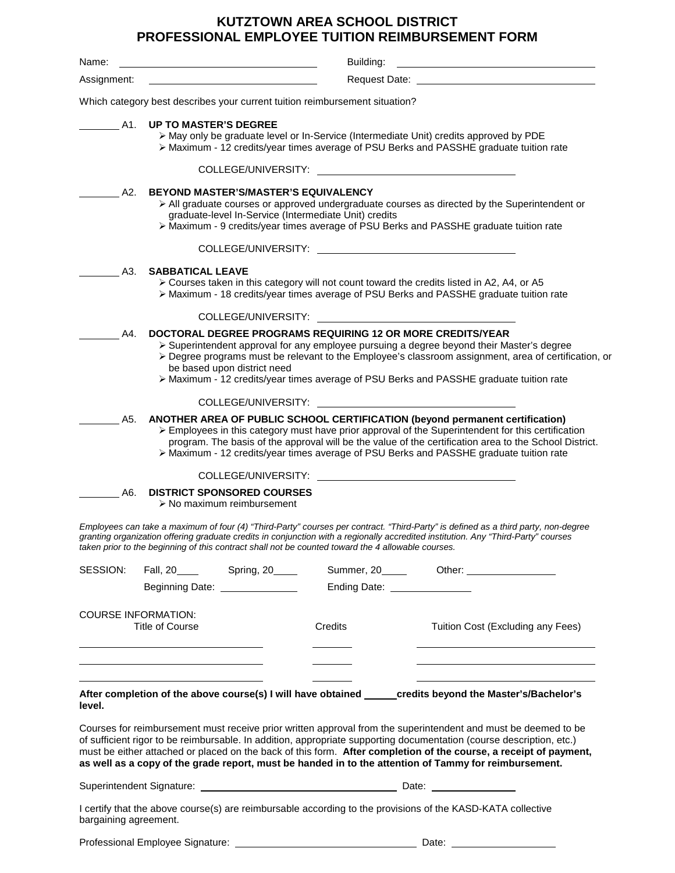## **KUTZTOWN AREA SCHOOL DISTRICT PROFESSIONAL EMPLOYEE TUITION REIMBURSEMENT FORM**

| Name:       | Building:                                                                                                                                                                                                                                                                                                                                                                                 |  |  |  |  |  |
|-------------|-------------------------------------------------------------------------------------------------------------------------------------------------------------------------------------------------------------------------------------------------------------------------------------------------------------------------------------------------------------------------------------------|--|--|--|--|--|
| Assignment: |                                                                                                                                                                                                                                                                                                                                                                                           |  |  |  |  |  |
|             | Which category best describes your current tuition reimbursement situation?                                                                                                                                                                                                                                                                                                               |  |  |  |  |  |
| A1.         | <b>UP TO MASTER'S DEGREE</b><br>> May only be graduate level or In-Service (Intermediate Unit) credits approved by PDE<br>> Maximum - 12 credits/year times average of PSU Berks and PASSHE graduate tuition rate                                                                                                                                                                         |  |  |  |  |  |
|             | COLLEGE/UNIVERSITY:                                                                                                                                                                                                                                                                                                                                                                       |  |  |  |  |  |
| A2.         | <b>BEYOND MASTER'S/MASTER'S EQUIVALENCY</b><br>$\triangleright$ All graduate courses or approved undergraduate courses as directed by the Superintendent or<br>graduate-level In-Service (Intermediate Unit) credits<br>> Maximum - 9 credits/year times average of PSU Berks and PASSHE graduate tuition rate                                                                            |  |  |  |  |  |
|             | COLLEGE/UNIVERSITY:                                                                                                                                                                                                                                                                                                                                                                       |  |  |  |  |  |
| A3.         | <b>SABBATICAL LEAVE</b><br>> Courses taken in this category will not count toward the credits listed in A2, A4, or A5<br>> Maximum - 18 credits/year times average of PSU Berks and PASSHE graduate tuition rate                                                                                                                                                                          |  |  |  |  |  |
|             | COLLEGE/UNIVERSITY:                                                                                                                                                                                                                                                                                                                                                                       |  |  |  |  |  |
| A4.         | DOCTORAL DEGREE PROGRAMS REQUIRING 12 OR MORE CREDITS/YEAR<br>> Superintendent approval for any employee pursuing a degree beyond their Master's degree<br>> Degree programs must be relevant to the Employee's classroom assignment, area of certification, or<br>be based upon district need<br>≻ Maximum - 12 credits/year times average of PSU Berks and PASSHE graduate tuition rate |  |  |  |  |  |
|             | COLLEGE/UNIVERSITY:                                                                                                                                                                                                                                                                                                                                                                       |  |  |  |  |  |
| A5.         | ANOTHER AREA OF PUBLIC SCHOOL CERTIFICATION (beyond permanent certification)<br>> Employees in this category must have prior approval of the Superintendent for this certification<br>program. The basis of the approval will be the value of the certification area to the School District.<br>> Maximum - 12 credits/year times average of PSU Berks and PASSHE graduate tuition rate   |  |  |  |  |  |
|             | COLLEGE/UNIVERSITY:                                                                                                                                                                                                                                                                                                                                                                       |  |  |  |  |  |
| A6.         | <b>DISTRICT SPONSORED COURSES</b><br>$\triangleright$ No maximum reimbursement                                                                                                                                                                                                                                                                                                            |  |  |  |  |  |

*Employees can take a maximum of four (4) "Third-Party" courses per contract. "Third-Party" is defined as a third party, non-degree granting organization offering graduate credits in conjunction with a regionally accredited institution. Any "Third-Party" courses taken prior to the beginning of this contract shall not be counted toward the 4 allowable courses.*

| SESSION:                                                                                                                                                                                                                                                                                                                                                                                                                                                             | Beginning Date: <u>_________________</u> |  |         | Summer, 20______ Other: ________________<br>Ending Date: _______________                                    |  |  |
|----------------------------------------------------------------------------------------------------------------------------------------------------------------------------------------------------------------------------------------------------------------------------------------------------------------------------------------------------------------------------------------------------------------------------------------------------------------------|------------------------------------------|--|---------|-------------------------------------------------------------------------------------------------------------|--|--|
| <b>COURSE INFORMATION:</b><br>Title of Course                                                                                                                                                                                                                                                                                                                                                                                                                        |                                          |  | Credits | Tuition Cost (Excluding any Fees)                                                                           |  |  |
| level.                                                                                                                                                                                                                                                                                                                                                                                                                                                               |                                          |  |         | After completion of the above course(s) I will have obtained _______ credits beyond the Master's/Bachelor's |  |  |
| Courses for reimbursement must receive prior written approval from the superintendent and must be deemed to be<br>of sufficient rigor to be reimbursable. In addition, appropriate supporting documentation (course description, etc.)<br>must be either attached or placed on the back of this form. After completion of the course, a receipt of payment,<br>as well as a copy of the grade report, must be handed in to the attention of Tammy for reimbursement. |                                          |  |         |                                                                                                             |  |  |
|                                                                                                                                                                                                                                                                                                                                                                                                                                                                      |                                          |  |         |                                                                                                             |  |  |
| I certify that the above course(s) are reimbursable according to the provisions of the KASD-KATA collective<br>bargaining agreement.                                                                                                                                                                                                                                                                                                                                 |                                          |  |         |                                                                                                             |  |  |
|                                                                                                                                                                                                                                                                                                                                                                                                                                                                      |                                          |  |         |                                                                                                             |  |  |